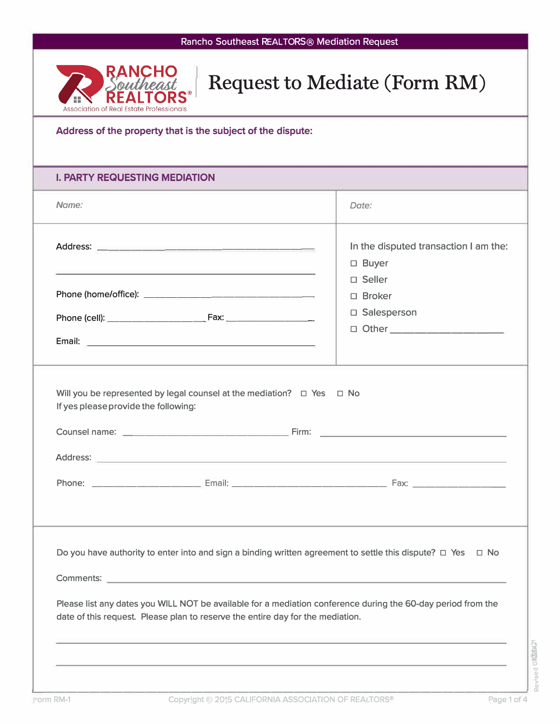

# Request to Mediate (Form RM)

### **Address of the property that is the subject of the dispute:**

### **I. PARTY REQUESTING MEDIATION**

| Name:                                                                                                                                                                                                                                                                                                                   | Date:                                                                              |
|-------------------------------------------------------------------------------------------------------------------------------------------------------------------------------------------------------------------------------------------------------------------------------------------------------------------------|------------------------------------------------------------------------------------|
| <u> 1989 - Andrea San Andrea San Aonaichte ann an Comhair an Chomhair ann an Chomhair an Chomhair an Chomhair an </u>                                                                                                                                                                                                   | In the disputed transaction I am the:<br>□ Buyer                                   |
|                                                                                                                                                                                                                                                                                                                         | $\Box$ Seller<br>$\Box$ Broker<br>□ Salesperson<br>□ Other <u>________________</u> |
| Will you be represented by legal counsel at the mediation? $\Box$ Yes $\Box$ No<br>If yes please provide the following:                                                                                                                                                                                                 |                                                                                    |
| Do you have authority to enter into and sign a binding written agreement to settle this dispute? $\Box$ Yes $\Box$ No<br>Please list any dates you WILL NOT be available for a mediation conference during the 60-day period from the<br>date of this request. Please plan to reserve the entire day for the mediation. |                                                                                    |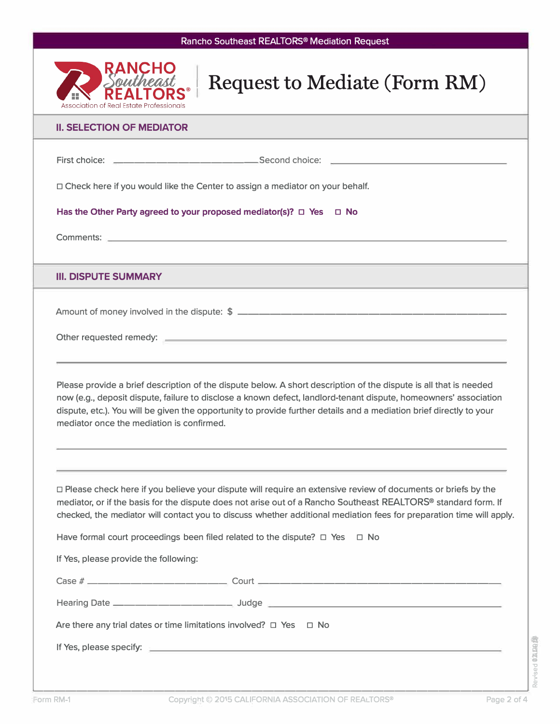

## Request to Mediate (Form RM)

#### **II. SELECTION OF MEDIATOR**

| II. SELECTION OF MEDIATOR                                                                                                                                                                                                                                                                                                                                                                                                                         |
|---------------------------------------------------------------------------------------------------------------------------------------------------------------------------------------------------------------------------------------------------------------------------------------------------------------------------------------------------------------------------------------------------------------------------------------------------|
|                                                                                                                                                                                                                                                                                                                                                                                                                                                   |
| □ Check here if you would like the Center to assign a mediator on your behalf.                                                                                                                                                                                                                                                                                                                                                                    |
| Has the Other Party agreed to your proposed mediator(s)? $\Box$ Yes $\Box$ No                                                                                                                                                                                                                                                                                                                                                                     |
|                                                                                                                                                                                                                                                                                                                                                                                                                                                   |
| <b>III. DISPUTE SUMMARY</b>                                                                                                                                                                                                                                                                                                                                                                                                                       |
|                                                                                                                                                                                                                                                                                                                                                                                                                                                   |
| Please provide a brief description of the dispute below. A short description of the dispute is all that is needed<br>now (e.g., deposit dispute, failure to disclose a known defect, landlord-tenant dispute, homeowners' association<br>dispute, etc.). You will be given the opportunity to provide further details and a mediation brief directly to your<br>mediator once the mediation is confirmed.                                         |
| □ Please check here if you believe your dispute will require an extensive review of documents or briefs by the<br>mediator, or if the basis for the dispute does not arise out of a Rancho Southeast REALTORS® standard form. If<br>checked, the mediator will contact you to discuss whether additional mediation fees for preparation time will apply.<br>Have formal court proceedings been filed related to the dispute? $\Box$ Yes $\Box$ No |
|                                                                                                                                                                                                                                                                                                                                                                                                                                                   |

If Yes, please provide the following:

| Are there any trial dates or time limitations involved? $\Box$ Yes $\Box$ No |  |  |  |  |
|------------------------------------------------------------------------------|--|--|--|--|
|                                                                              |  |  |  |  |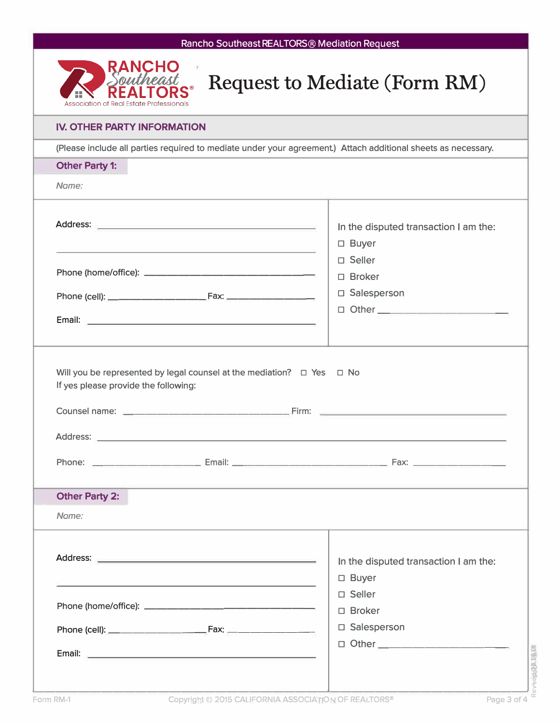|                                          |                                                                                                                                                                                                                               | Rancho Southeast REALTORS <sup>®</sup> Mediation Request                                                      |
|------------------------------------------|-------------------------------------------------------------------------------------------------------------------------------------------------------------------------------------------------------------------------------|---------------------------------------------------------------------------------------------------------------|
| Association of Real Estate Professionals |                                                                                                                                                                                                                               | <b>Request to Mediate (Form RM)</b>                                                                           |
| <b>IV. OTHER PARTY INFORMATION</b>       |                                                                                                                                                                                                                               |                                                                                                               |
|                                          |                                                                                                                                                                                                                               | (Please include all parties required to mediate under your agreement.) Attach additional sheets as necessary. |
| <b>Other Party 1:</b>                    |                                                                                                                                                                                                                               |                                                                                                               |
| Name:                                    |                                                                                                                                                                                                                               |                                                                                                               |
|                                          | the contract of the contract of the contract of the contract of the contract of                                                                                                                                               | In the disputed transaction I am the:<br>□ Buyer<br>□ Seller                                                  |
|                                          |                                                                                                                                                                                                                               | $\Box$ Broker                                                                                                 |
|                                          |                                                                                                                                                                                                                               | □ Salesperson                                                                                                 |
|                                          | Email: <u>Alexander Alexander Alexander Alexander Alexander Alexander Alexander Alexander Alexander Alexander Alex</u>                                                                                                        | □ Other <u>____________________</u>                                                                           |
| If yes please provide the following:     | Will you be represented by legal counsel at the mediation? $\Box$ Yes $\Box$ No                                                                                                                                               |                                                                                                               |
| <b>Address:</b>                          |                                                                                                                                                                                                                               | Counsel name: ___________________________Firm: _________________________________                              |
|                                          |                                                                                                                                                                                                                               |                                                                                                               |
|                                          |                                                                                                                                                                                                                               | ,我们也不会有什么?""我们的人,我们也不会有什么?""我们的人,我们也不会有什么?""我们的人,我们也不会有什么?""我们的人,我们也不会有什么?""我们的人                              |
| <b>Other Party 2:</b><br>Name:           |                                                                                                                                                                                                                               |                                                                                                               |
|                                          | the control of the control of the control of the control of the control of the control of the control of the control of the control of the control of the control of the control of the control of the control of the control | In the disputed transaction I am the:<br>□ Buyer                                                              |
|                                          |                                                                                                                                                                                                                               | □ Seller                                                                                                      |
|                                          |                                                                                                                                                                                                                               | □ Broker<br>□ Salesperson                                                                                     |
|                                          |                                                                                                                                                                                                                               | □ Other _____________________                                                                                 |
|                                          |                                                                                                                                                                                                                               |                                                                                                               |